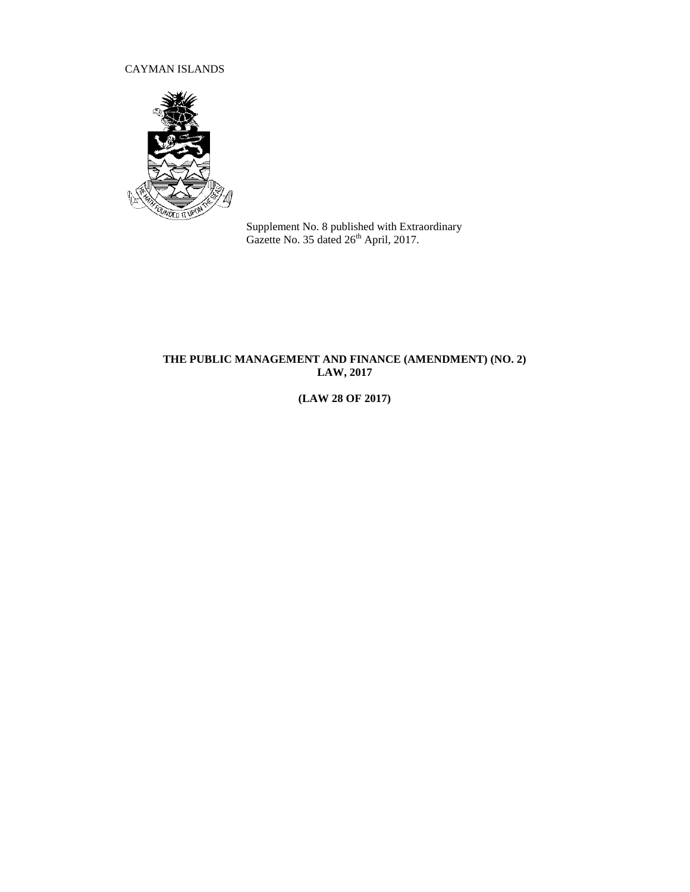# CAYMAN ISLANDS



Supplement No. 8 published with Extraordinary Gazette No. 35 dated  $26<sup>th</sup>$  April, 2017.

# **THE PUBLIC MANAGEMENT AND FINANCE (AMENDMENT) (NO. 2) LAW, 2017**

# **(LAW 28 OF 2017)**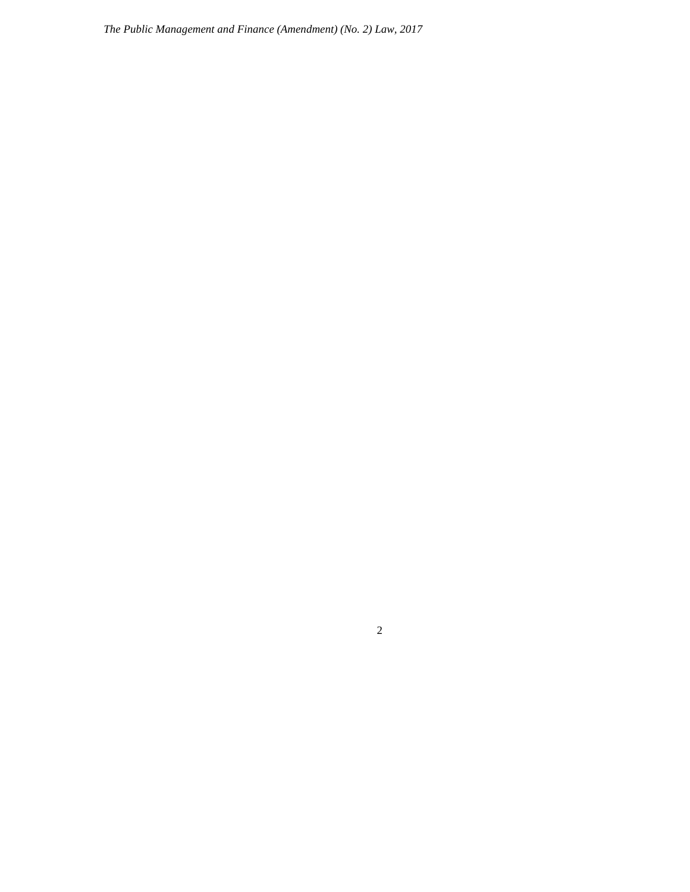*The Public Management and Finance (Amendment) (No. 2) Law, 2017*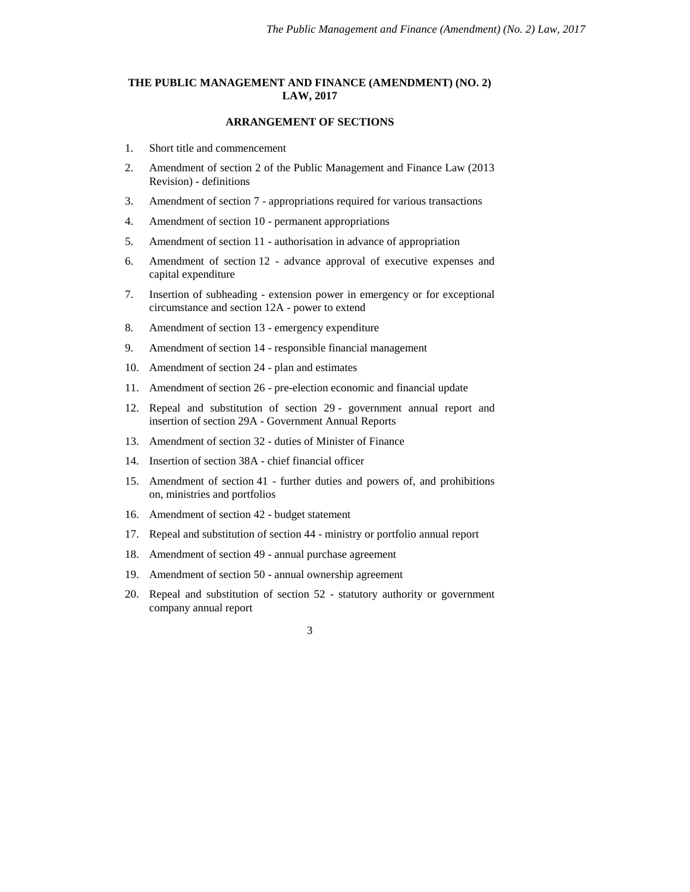## **THE PUBLIC MANAGEMENT AND FINANCE (AMENDMENT) (NO. 2) LAW, 2017**

## **ARRANGEMENT OF SECTIONS**

- 1. Short title and commencement
- 2. Amendment of section 2 of the Public Management and Finance Law (2013 Revision) - definitions
- 3. Amendment of section 7 appropriations required for various transactions
- 4. Amendment of section 10 permanent appropriations
- 5. Amendment of section 11 authorisation in advance of appropriation
- 6. Amendment of section 12 advance approval of executive expenses and capital expenditure
- 7. Insertion of subheading extension power in emergency or for exceptional circumstance and section 12A - power to extend
- 8. Amendment of section 13 emergency expenditure
- 9. Amendment of section 14 responsible financial management
- 10. Amendment of section 24 plan and estimates
- 11. Amendment of section 26 pre-election economic and financial update
- 12. Repeal and substitution of section 29 government annual report and insertion of section 29A - Government Annual Reports
- 13. Amendment of section 32 duties of Minister of Finance
- 14. Insertion of section 38A chief financial officer
- 15. Amendment of section 41 further duties and powers of, and prohibitions on, ministries and portfolios
- 16. Amendment of section 42 budget statement
- 17. Repeal and substitution of section 44 ministry or portfolio annual report
- 18. Amendment of section 49 annual purchase agreement
- 19. Amendment of section 50 annual ownership agreement
- 20. Repeal and substitution of section 52 statutory authority or government company annual report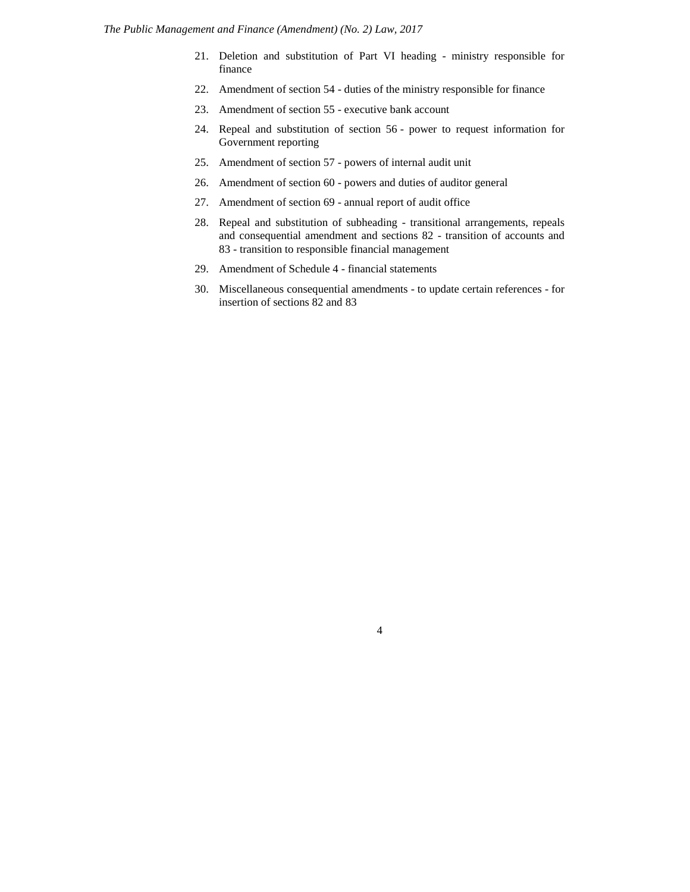- 21. Deletion and substitution of Part VI heading ministry responsible for finance
- 22. Amendment of section 54 duties of the ministry responsible for finance
- 23. Amendment of section 55 executive bank account
- 24. Repeal and substitution of section 56 power to request information for Government reporting
- 25. Amendment of section 57 powers of internal audit unit
- 26. Amendment of section 60 powers and duties of auditor general
- 27. Amendment of section 69 annual report of audit office
- 28. Repeal and substitution of subheading transitional arrangements, repeals and consequential amendment and sections 82 - transition of accounts and 83 - transition to responsible financial management
- 29. Amendment of Schedule 4 financial statements
- 30. Miscellaneous consequential amendments to update certain references for insertion of sections 82 and 83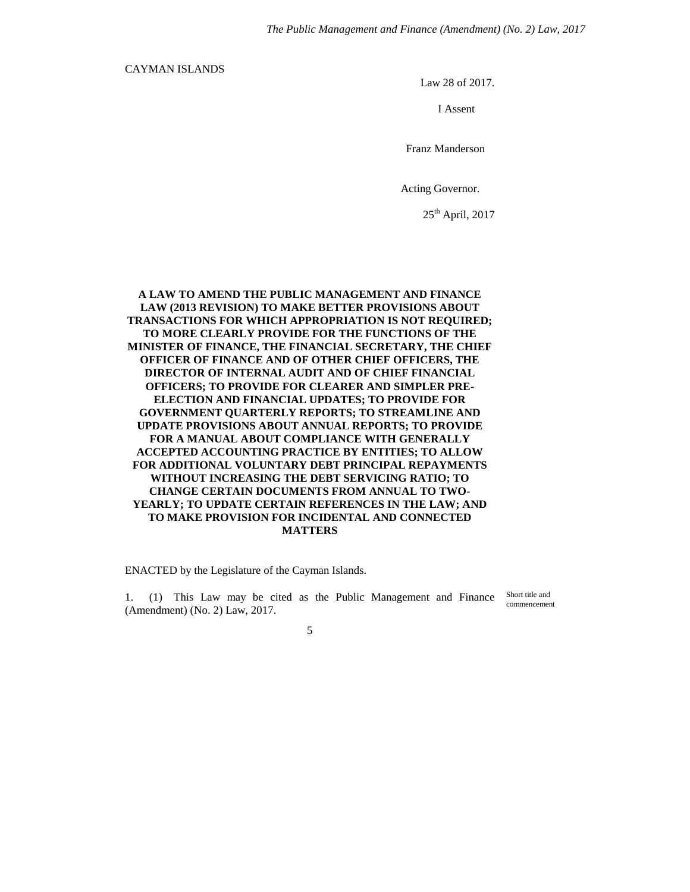# CAYMAN ISLANDS

Law 28 of 2017.

I Assent

Franz Manderson

Acting Governor.

 $25<sup>th</sup>$  April, 2017

**A LAW TO AMEND THE PUBLIC MANAGEMENT AND FINANCE LAW (2013 REVISION) TO MAKE BETTER PROVISIONS ABOUT TRANSACTIONS FOR WHICH APPROPRIATION IS NOT REQUIRED; TO MORE CLEARLY PROVIDE FOR THE FUNCTIONS OF THE MINISTER OF FINANCE, THE FINANCIAL SECRETARY, THE CHIEF OFFICER OF FINANCE AND OF OTHER CHIEF OFFICERS, THE DIRECTOR OF INTERNAL AUDIT AND OF CHIEF FINANCIAL OFFICERS; TO PROVIDE FOR CLEARER AND SIMPLER PRE-ELECTION AND FINANCIAL UPDATES; TO PROVIDE FOR GOVERNMENT QUARTERLY REPORTS; TO STREAMLINE AND UPDATE PROVISIONS ABOUT ANNUAL REPORTS; TO PROVIDE FOR A MANUAL ABOUT COMPLIANCE WITH GENERALLY ACCEPTED ACCOUNTING PRACTICE BY ENTITIES; TO ALLOW FOR ADDITIONAL VOLUNTARY DEBT PRINCIPAL REPAYMENTS WITHOUT INCREASING THE DEBT SERVICING RATIO; TO CHANGE CERTAIN DOCUMENTS FROM ANNUAL TO TWO-YEARLY; TO UPDATE CERTAIN REFERENCES IN THE LAW; AND TO MAKE PROVISION FOR INCIDENTAL AND CONNECTED MATTERS**

ENACTED by the Legislature of the Cayman Islands.

1. (1) This Law may be cited as the Public Management and Finance Short title and (Amendment) (No. 2) Law, 2017.

commencement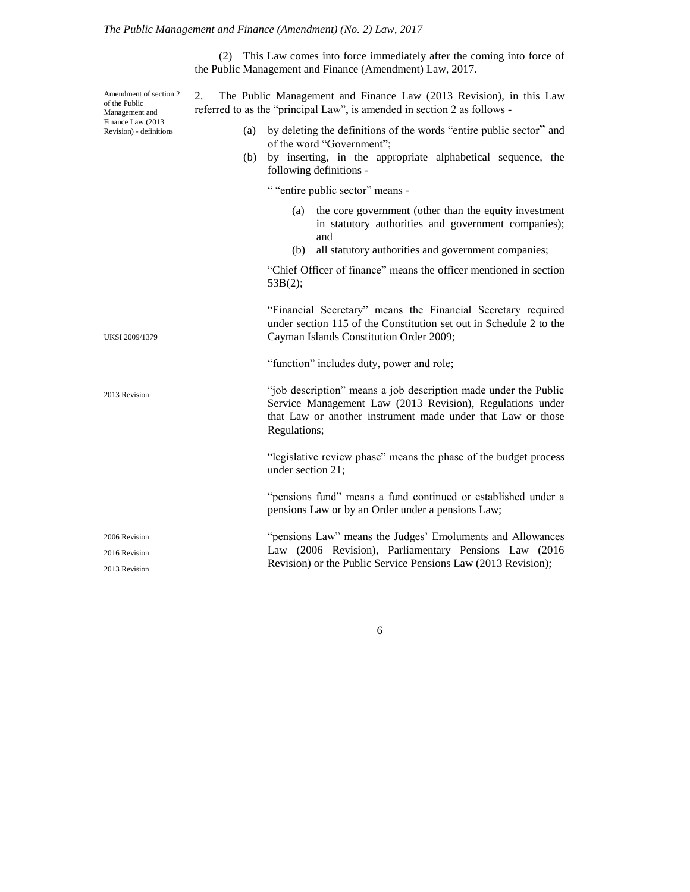*The Public Management and Finance (Amendment) (No. 2) Law, 2017*

(2) This Law comes into force immediately after the coming into force of the Public Management and Finance (Amendment) Law, 2017.

Amendment of section 2 of the Public Management and Finance Law (2013 Revision) - definitions

UKSI 2009/1379

2013 Revision

2006 Revision 2016 Revision 2013 Revision 2. The Public Management and Finance Law (2013 Revision), in this Law referred to as the "principal Law", is amended in section 2 as follows -

- (a) by deleting the definitions of the words "entire public sector" and of the word "Government";
- (b) by inserting, in the appropriate alphabetical sequence, the following definitions -

" "entire public sector" means -

- (a) the core government (other than the equity investment in statutory authorities and government companies); and
- (b) all statutory authorities and government companies;

"Chief Officer of finance" means the officer mentioned in section 53B(2);

"Financial Secretary" means the Financial Secretary required under section 115 of the Constitution set out in Schedule 2 to the Cayman Islands Constitution Order 2009;

"function" includes duty, power and role;

"job description" means a job description made under the Public Service Management Law (2013 Revision), Regulations under that Law or another instrument made under that Law or those Regulations;

> "legislative review phase" means the phase of the budget process under section 21;

> "pensions fund" means a fund continued or established under a pensions Law or by an Order under a pensions Law;

"pensions Law" means the Judges' Emoluments and Allowances Law (2006 Revision), Parliamentary Pensions Law (2016 Revision) or the Public Service Pensions Law (2013 Revision);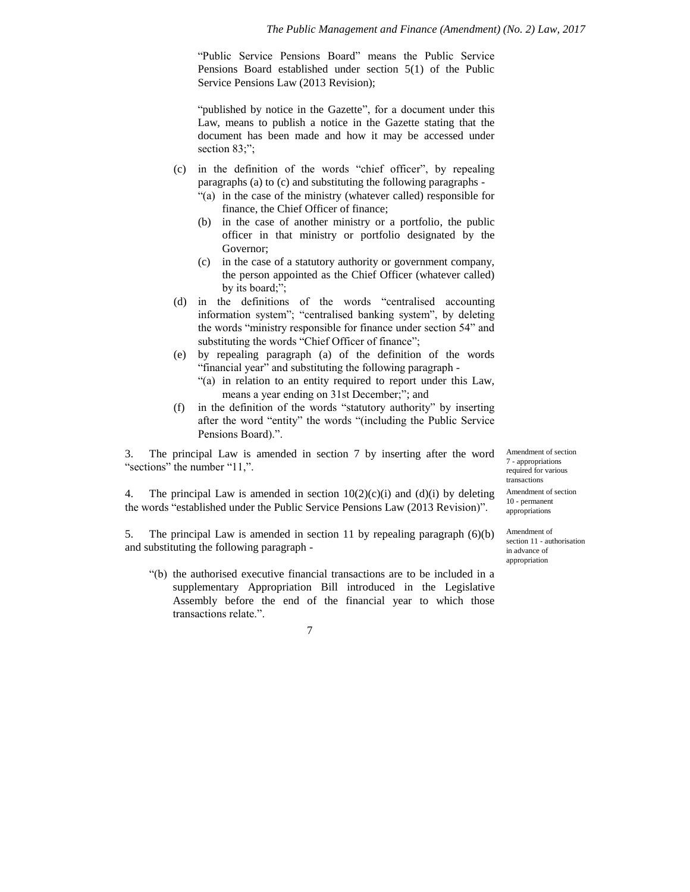"Public Service Pensions Board" means the Public Service Pensions Board established under section 5(1) of the Public Service Pensions Law (2013 Revision);

"published by notice in the Gazette", for a document under this Law, means to publish a notice in the Gazette stating that the document has been made and how it may be accessed under section 83;";

- (c) in the definition of the words "chief officer", by repealing paragraphs (a) to (c) and substituting the following paragraphs -
	- "(a) in the case of the ministry (whatever called) responsible for finance, the Chief Officer of finance;
	- (b) in the case of another ministry or a portfolio, the public officer in that ministry or portfolio designated by the Governor;
	- (c) in the case of a statutory authority or government company, the person appointed as the Chief Officer (whatever called) by its board;":
- (d) in the definitions of the words "centralised accounting information system"; "centralised banking system", by deleting the words "ministry responsible for finance under section 54" and substituting the words "Chief Officer of finance";
- (e) by repealing paragraph (a) of the definition of the words "financial year" and substituting the following paragraph -
	- "(a) in relation to an entity required to report under this Law, means a year ending on 31st December;"; and
- (f) in the definition of the words "statutory authority" by inserting after the word "entity" the words "(including the Public Service Pensions Board).".

3. The principal Law is amended in section 7 by inserting after the word " sections" the number "11,".

4. The principal Law is amended in section  $10(2)(c)(i)$  and  $(d)(i)$  by deleting the words "established under the Public Service Pensions Law (2013 Revision)".

5. The principal Law is amended in section 11 by repealing paragraph (6)(b) and substituting the following paragraph -

"(b) the authorised executive financial transactions are to be included in a supplementary Appropriation Bill introduced in the Legislative Assembly before the end of the financial year to which those transactions relate.".

7

Amendment of section 7 - appropriations required for various transactions

Amendment of section 10 - permanent appropriations

Amendment of section 11 - authorisation in advance of appropriation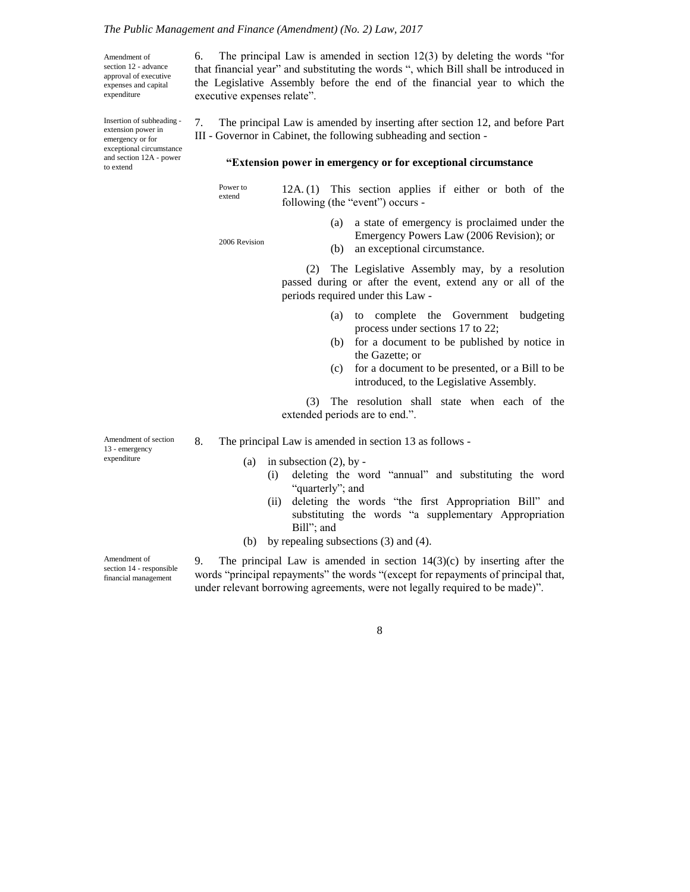#### *The Public Management and Finance (Amendment) (No. 2) Law, 2017*

Amendment of section 12 - advance approval of executive expenses and capital expenditure

Insertion of subheading extension power in emergency or for exceptional circumstance and section 12A - power to extend

6. The principal Law is amended in section 12(3) by deleting the words "for that financial year" and substituting the words ", which Bill shall be introduced in the Legislative Assembly before the end of the financial year to which the executive expenses relate".

7. The principal Law is amended by inserting after section 12, and before Part III - Governor in Cabinet, the following subheading and section -

#### **"Extension power in emergency or for exceptional circumstance**

Power to extend

12A. (1) This section applies if either or both of the following (the "event") occurs -

2006 Revision

(a) a state of emergency is proclaimed under the Emergency Powers Law (2006 Revision); or

(b) an exceptional circumstance.

(2) The Legislative Assembly may, by a resolution passed during or after the event, extend any or all of the periods required under this Law -

- (a) to complete the Government budgeting process under sections 17 to 22;
- (b) for a document to be published by notice in the Gazette; or
- (c) for a document to be presented, or a Bill to be introduced, to the Legislative Assembly.

(3) The resolution shall state when each of the extended periods are to end.".

Amendment of section 13 - emergency expenditure

8. The principal Law is amended in section 13 as follows -

- (a) in subsection  $(2)$ , by -
	- (i) deleting the word "annual" and substituting the word "quarterly"; and
	- (ii) deleting the words "the first Appropriation Bill" and substituting the words "a supplementary Appropriation Bill"; and
- (b) by repealing subsections (3) and (4).

Amendment of section 14 - responsible financial management

9. The principal Law is amended in section  $14(3)(c)$  by inserting after the words "principal repayments" the words "(except for repayments of principal that, under relevant borrowing agreements, were not legally required to be made)".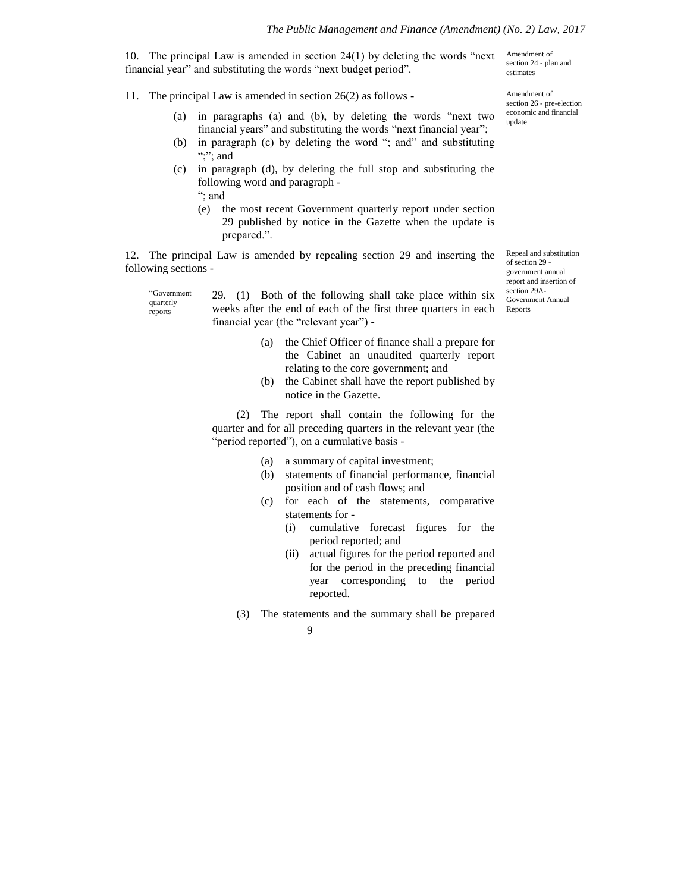10. The principal Law is amended in section 24(1) by deleting the words "next financial year" and substituting the words "next budget period".

11. The principal Law is amended in section 26(2) as follows -

- (a) in paragraphs (a) and (b), by deleting the words "next two financial years" and substituting the words "next financial year";
- (b) in paragraph (c) by deleting the word "; and" and substituting ";  $\dddot{ }$  and
- (c) in paragraph (d), by deleting the full stop and substituting the following word and paragraph -
	- "; and
	- (e) the most recent Government quarterly report under section 29 published by notice in the Gazette when the update is prepared.".

12. The principal Law is amended by repealing section 29 and inserting the following sections -

"Government quarterly reports 29. (1) Both of the following shall take place within six weeks after the end of each of the first three quarters in each financial year (the "relevant year") -

- (a) the Chief Officer of finance shall a prepare for the Cabinet an unaudited quarterly report relating to the core government; and
- (b) the Cabinet shall have the report published by notice in the Gazette.

(2) The report shall contain the following for the quarter and for all preceding quarters in the relevant year (the "period reported"), on a cumulative basis -

- (a) a summary of capital investment;
- (b) statements of financial performance, financial position and of cash flows; and
- (c) for each of the statements, comparative statements for -
	- (i) cumulative forecast figures for the period reported; and
	- (ii) actual figures for the period reported and for the period in the preceding financial year corresponding to the period reported.
- (3) The statements and the summary shall be prepared

9

Amendment of section 24 - plan and estimates

Amendment of section 26 - pre-election economic and financial update

Repeal and substitution of section 29 government annual report and insertion of section 29A-Government Annual Reports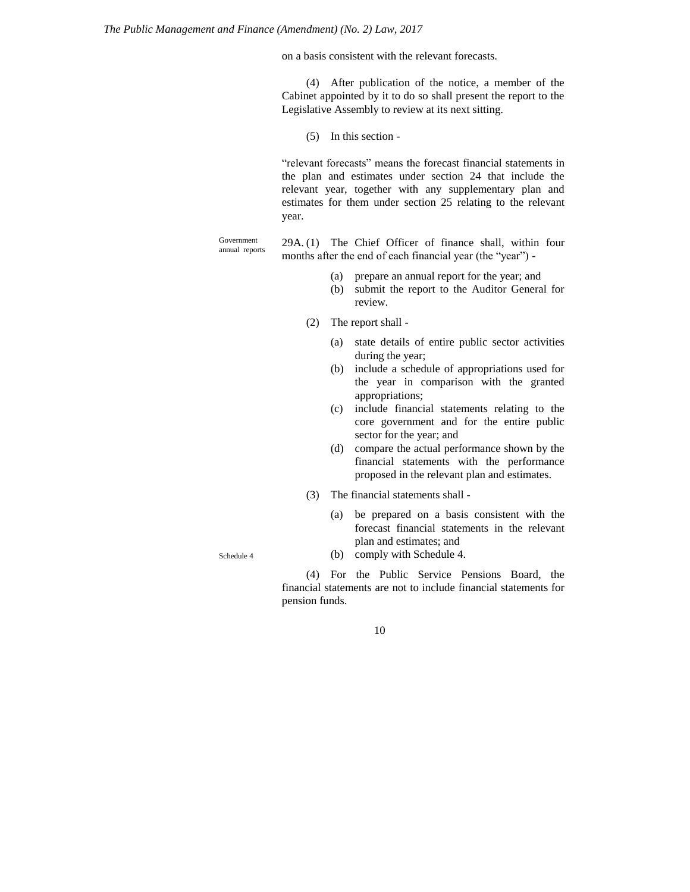Schedule 4

on a basis consistent with the relevant forecasts.

(4) After publication of the notice, a member of the Cabinet appointed by it to do so shall present the report to the Legislative Assembly to review at its next sitting.

(5) In this section -

"relevant forecasts" means the forecast financial statements in the plan and estimates under section 24 that include the relevant year, together with any supplementary plan and estimates for them under section 25 relating to the relevant year.

Government annual reports 29A. (1) The Chief Officer of finance shall, within four months after the end of each financial year (the "year") -

- (a) prepare an annual report for the year; and
- (b) submit the report to the Auditor General for review.
- (2) The report shall
	- (a) state details of entire public sector activities during the year;
	- (b) include a schedule of appropriations used for the year in comparison with the granted appropriations;
	- (c) include financial statements relating to the core government and for the entire public sector for the year; and
	- (d) compare the actual performance shown by the financial statements with the performance proposed in the relevant plan and estimates.
- (3) The financial statements shall
	- (a) be prepared on a basis consistent with the forecast financial statements in the relevant plan and estimates; and
	- (b) comply with Schedule 4.

(4) For the Public Service Pensions Board, the financial statements are not to include financial statements for pension funds.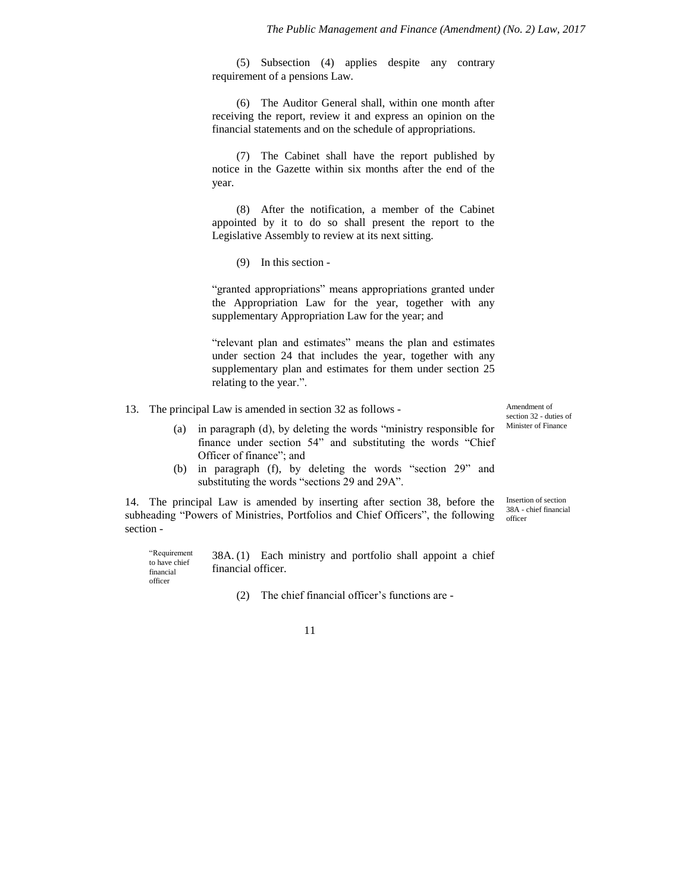(5) Subsection (4) applies despite any contrary requirement of a pensions Law.

(6) The Auditor General shall, within one month after receiving the report, review it and express an opinion on the financial statements and on the schedule of appropriations.

(7) The Cabinet shall have the report published by notice in the Gazette within six months after the end of the year.

(8) After the notification, a member of the Cabinet appointed by it to do so shall present the report to the Legislative Assembly to review at its next sitting.

(9) In this section -

"granted appropriations" means appropriations granted under the Appropriation Law for the year, together with any supplementary Appropriation Law for the year; and

"relevant plan and estimates" means the plan and estimates under section 24 that includes the year, together with any supplementary plan and estimates for them under section 25 relating to the year.".

13. The principal Law is amended in section 32 as follows -

officer

- (a) in paragraph (d), by deleting the words "ministry responsible for finance under section 54" and substituting the words "Chief Officer of finance"; and
- (b) in paragraph (f), by deleting the words "section 29" and substituting the words "sections 29 and 29A".

14. The principal Law is amended by inserting after section 38, before the subheading "Powers of Ministries, Portfolios and Chief Officers", the following section -

"Requirement to have chief financial 38A. (1) Each ministry and portfolio shall appoint a chief financial officer.

(2) The chief financial officer's functions are -

11

Amendment of section 32 - duties of Minister of Finance

Insertion of section 38A - chief financial officer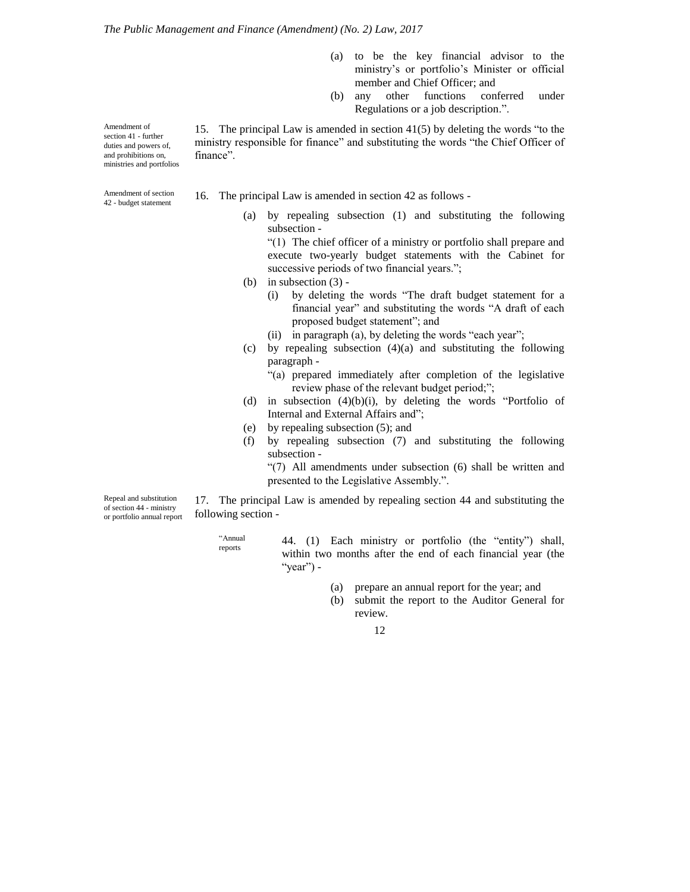- (a) to be the key financial advisor to the ministry's or portfolio's Minister or official member and Chief Officer; and
- (b) any other functions conferred under Regulations or a job description.".

15. The principal Law is amended in section 41(5) by deleting the words "to the ministry responsible for finance" and substituting the words "the Chief Officer of finance".

Amendment of section 42 - budget statement

Amendment of section 41 - further duties and powers of, and prohibitions on, ministries and portfolios

16. The principal Law is amended in section 42 as follows -

(a) by repealing subsection (1) and substituting the following subsection -

"(1) The chief officer of a ministry or portfolio shall prepare and execute two-yearly budget statements with the Cabinet for successive periods of two financial years.";

- (b) in subsection  $(3)$  -
	- (i) by deleting the words "The draft budget statement for a financial year" and substituting the words "A draft of each proposed budget statement"; and
	- (ii) in paragraph (a), by deleting the words "each year";
- (c) by repealing subsection (4)(a) and substituting the following paragraph -
	- "(a) prepared immediately after completion of the legislative review phase of the relevant budget period;";
- (d) in subsection (4)(b)(i), by deleting the words "Portfolio of Internal and External Affairs and";
- (e) by repealing subsection (5); and
- (f) by repealing subsection (7) and substituting the following subsection -

"(7) All amendments under subsection (6) shall be written and presented to the Legislative Assembly.".

Repeal and substitution of section 44 - ministry or portfolio annual report

17. The principal Law is amended by repealing section 44 and substituting the following section -

"Annual reports 44. (1) Each ministry or portfolio (the "entity") shall, within two months after the end of each financial year (the "year") -

- (a) prepare an annual report for the year; and
- (b) submit the report to the Auditor General for review.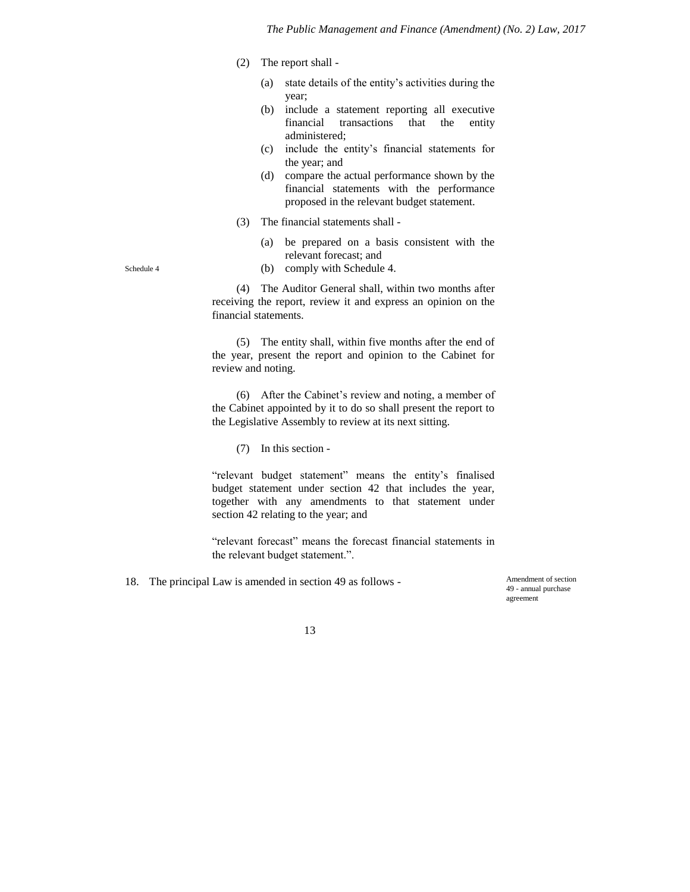- (2) The report shall
	- (a) state details of the entity's activities during the year;
	- (b) include a statement reporting all executive financial transactions that the entity administered;
	- (c) include the entity's financial statements for the year; and
	- (d) compare the actual performance shown by the financial statements with the performance proposed in the relevant budget statement.
- (3) The financial statements shall
	- (a) be prepared on a basis consistent with the relevant forecast; and
	- (b) comply with Schedule 4.

(4) The Auditor General shall, within two months after receiving the report, review it and express an opinion on the financial statements.

(5) The entity shall, within five months after the end of the year, present the report and opinion to the Cabinet for review and noting.

(6) After the Cabinet's review and noting, a member of the Cabinet appointed by it to do so shall present the report to the Legislative Assembly to review at its next sitting.

(7) In this section -

"relevant budget statement" means the entity's finalised budget statement under section 42 that includes the year, together with any amendments to that statement under section 42 relating to the year; and

"relevant forecast" means the forecast financial statements in the relevant budget statement.".

18. The principal Law is amended in section 49 as follows -

Amendment of section 49 - annual purchase agreement

13

Schedule 4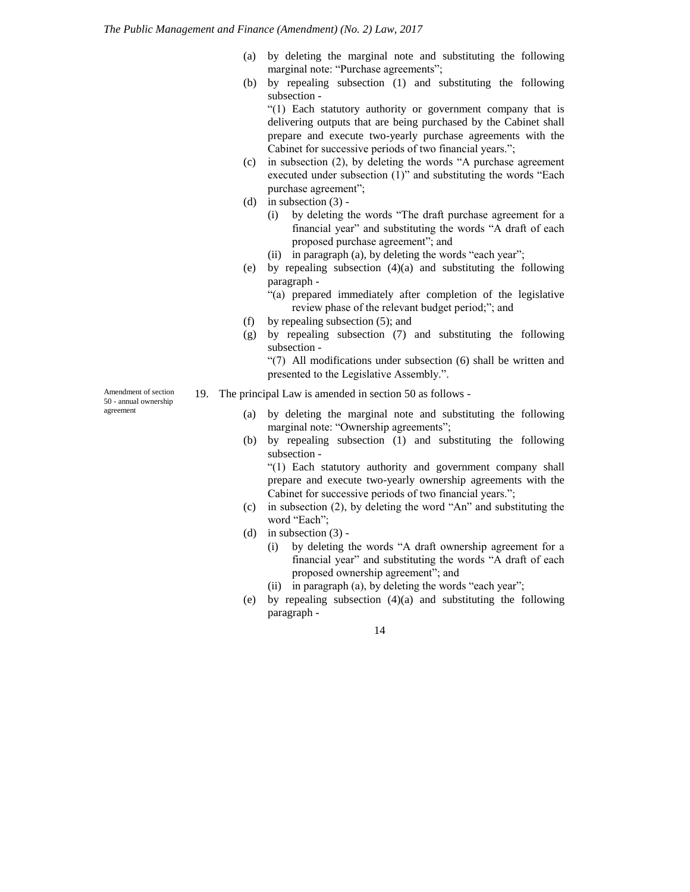- (a) by deleting the marginal note and substituting the following marginal note: "Purchase agreements";
- (b) by repealing subsection (1) and substituting the following subsection -

"(1) Each statutory authority or government company that is delivering outputs that are being purchased by the Cabinet shall prepare and execute two-yearly purchase agreements with the Cabinet for successive periods of two financial years.";

(c) in subsection (2), by deleting the words "A purchase agreement executed under subsection (1)" and substituting the words "Each purchase agreement";

(d) in subsection  $(3)$  -

- (i) by deleting the words "The draft purchase agreement for a financial year" and substituting the words "A draft of each proposed purchase agreement"; and
- (ii) in paragraph (a), by deleting the words "each year";
- (e) by repealing subsection (4)(a) and substituting the following paragraph -
	- "(a) prepared immediately after completion of the legislative review phase of the relevant budget period;"; and
- (f) by repealing subsection (5); and
- (g) by repealing subsection (7) and substituting the following subsection -

"(7) All modifications under subsection (6) shall be written and presented to the Legislative Assembly.".

Amendment of section 50 - annual ownership agreement

- 19. The principal Law is amended in section 50 as follows
	- (a) by deleting the marginal note and substituting the following marginal note: "Ownership agreements";
	- (b) by repealing subsection (1) and substituting the following subsection -

"(1) Each statutory authority and government company shall prepare and execute two-yearly ownership agreements with the Cabinet for successive periods of two financial years.";

- (c) in subsection (2), by deleting the word "An" and substituting the word "Each";
- (d) in subsection  $(3)$  -
	- (i) by deleting the words "A draft ownership agreement for a financial year" and substituting the words "A draft of each proposed ownership agreement"; and
	- (ii) in paragraph (a), by deleting the words "each year";
- (e) by repealing subsection (4)(a) and substituting the following paragraph -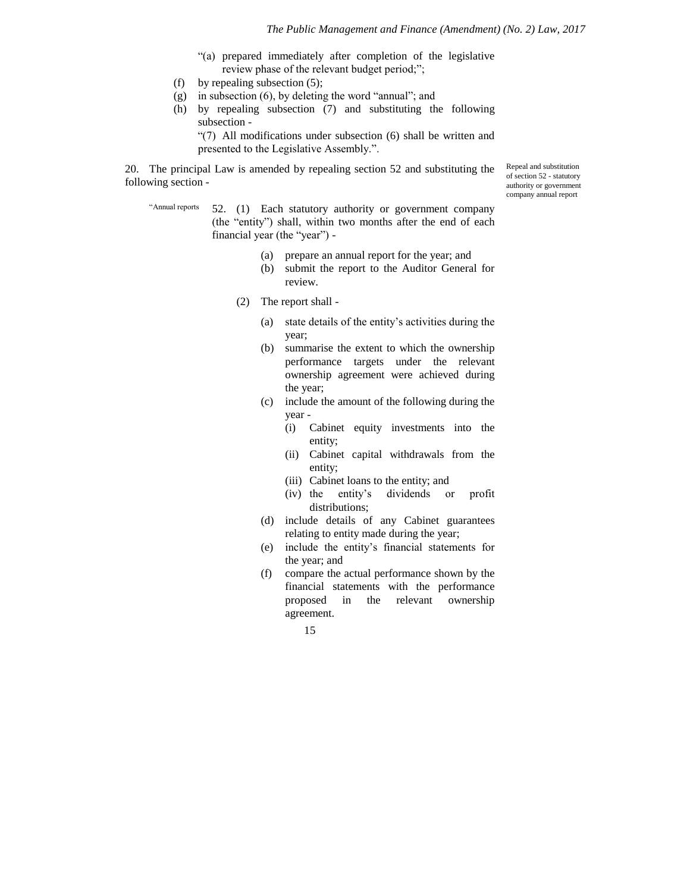- "(a) prepared immediately after completion of the legislative review phase of the relevant budget period;";
- (f) by repealing subsection (5);
- (g) in subsection (6), by deleting the word "annual"; and
- (h) by repealing subsection (7) and substituting the following subsection -

"(7) All modifications under subsection (6) shall be written and presented to the Legislative Assembly.".

20. The principal Law is amended by repealing section 52 and substituting the following section -

Repeal and substitution of section 52 - statutory authority or government company annual report

"Annual reports 52. (1) Each statutory authority or government company (the "entity") shall, within two months after the end of each financial year (the "year") -

- (a) prepare an annual report for the year; and
- (b) submit the report to the Auditor General for review.
- (2) The report shall
	- (a) state details of the entity's activities during the year;
	- (b) summarise the extent to which the ownership performance targets under the relevant ownership agreement were achieved during the year;
	- (c) include the amount of the following during the year -
		- (i) Cabinet equity investments into the entity;
		- (ii) Cabinet capital withdrawals from the entity;
		- (iii) Cabinet loans to the entity; and
		- (iv) the entity's dividends or profit distributions;
	- (d) include details of any Cabinet guarantees relating to entity made during the year;
	- (e) include the entity's financial statements for the year; and
	- (f) compare the actual performance shown by the financial statements with the performance proposed in the relevant ownership agreement.
		- 15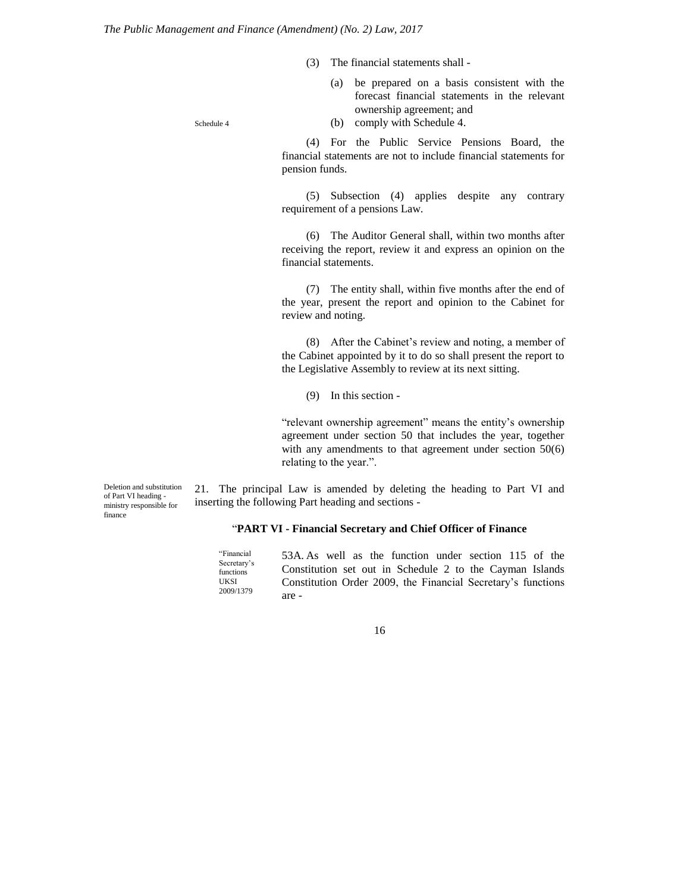- (3) The financial statements shall
	- (a) be prepared on a basis consistent with the forecast financial statements in the relevant ownership agreement; and
	- (b) comply with Schedule 4.

(4) For the Public Service Pensions Board, the financial statements are not to include financial statements for pension funds.

(5) Subsection (4) applies despite any contrary requirement of a pensions Law.

(6) The Auditor General shall, within two months after receiving the report, review it and express an opinion on the financial statements.

(7) The entity shall, within five months after the end of the year, present the report and opinion to the Cabinet for review and noting.

(8) After the Cabinet's review and noting, a member of the Cabinet appointed by it to do so shall present the report to the Legislative Assembly to review at its next sitting.

(9) In this section -

"relevant ownership agreement" means the entity's ownership agreement under section 50 that includes the year, together with any amendments to that agreement under section 50(6) relating to the year.".

21. The principal Law is amended by deleting the heading to Part VI and inserting the following Part heading and sections -

### "**PART VI - Financial Secretary and Chief Officer of Finance**

"Financial Secretary's functions UKSI 2009/1379 53A. As well as the function under section 115 of the Constitution set out in Schedule 2 to the Cayman Islands Constitution Order 2009, the Financial Secretary's functions are -

16

Deletion and substitution of Part VI heading ministry responsible for finance

Schedule 4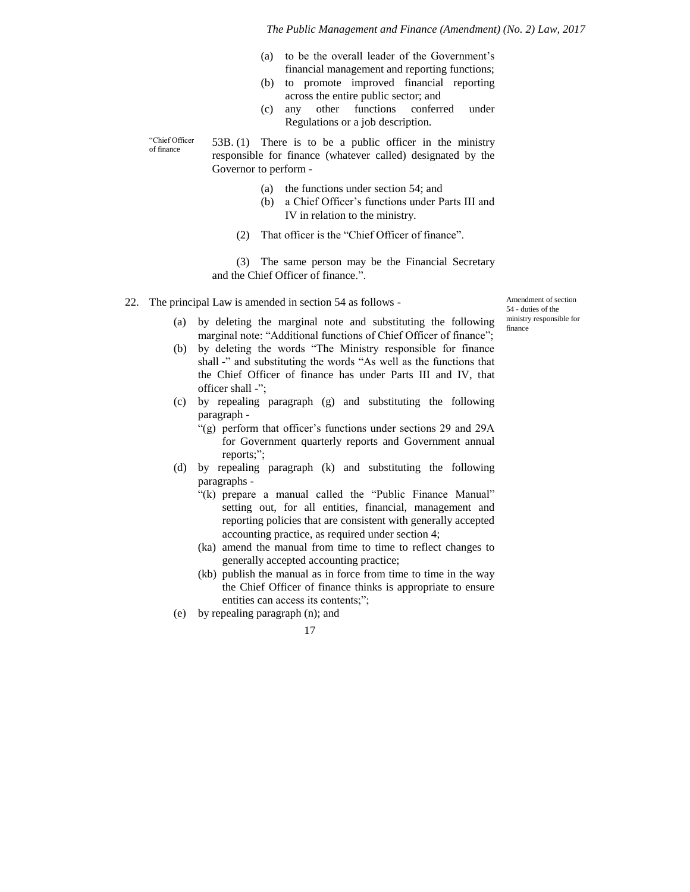- (a) to be the overall leader of the Government's financial management and reporting functions;
- (b) to promote improved financial reporting across the entire public sector; and
- (c) any other functions conferred under Regulations or a job description.

53B. (1) There is to be a public officer in the ministry responsible for finance (whatever called) designated by the Governor to perform -

- (a) the functions under section 54; and
- (b) a Chief Officer's functions under Parts III and IV in relation to the ministry.
- (2) That officer is the "Chief Officer of finance".

(3) The same person may be the Financial Secretary and the Chief Officer of finance.".

22. The principal Law is amended in section 54 as follows -

Amendment of section 54 - duties of the ministry responsible for finance

- (a) by deleting the marginal note and substituting the following marginal note: "Additional functions of Chief Officer of finance";
- (b) by deleting the words "The Ministry responsible for finance shall -" and substituting the words "As well as the functions that the Chief Officer of finance has under Parts III and IV, that officer shall -";
- (c) by repealing paragraph (g) and substituting the following paragraph -
	- "(g) perform that officer's functions under sections 29 and 29A for Government quarterly reports and Government annual reports;";
- (d) by repealing paragraph (k) and substituting the following paragraphs -
	- "(k) prepare a manual called the "Public Finance Manual" setting out, for all entities, financial, management and reporting policies that are consistent with generally accepted accounting practice, as required under section 4;
	- (ka) amend the manual from time to time to reflect changes to generally accepted accounting practice;
	- (kb) publish the manual as in force from time to time in the way the Chief Officer of finance thinks is appropriate to ensure entities can access its contents;";
- (e) by repealing paragraph (n); and

17

"Chief Officer of finance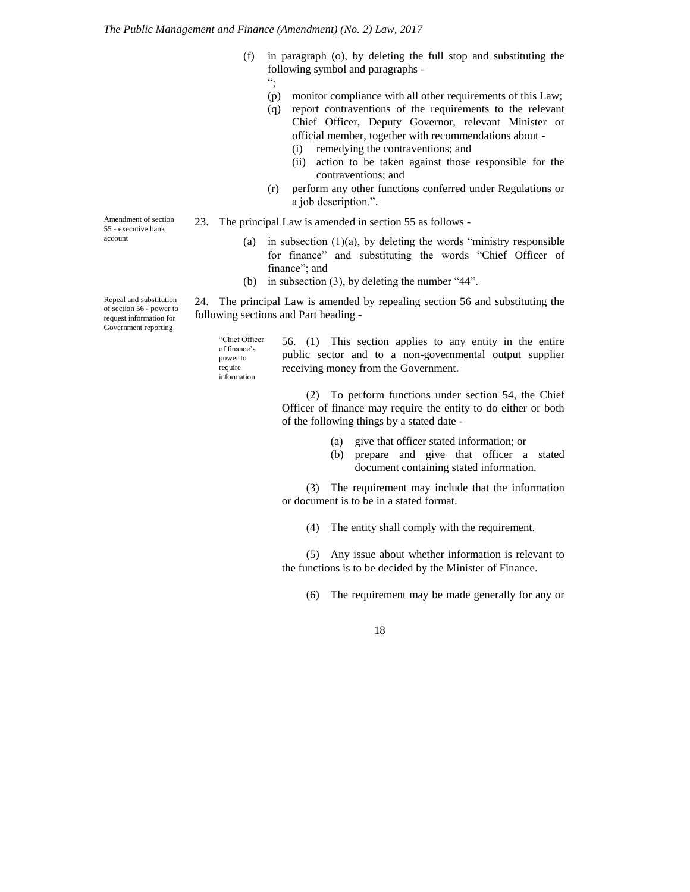- (f) in paragraph (o), by deleting the full stop and substituting the following symbol and paragraphs -  $\ddot{\cdot}$ 
	-
	- (p) monitor compliance with all other requirements of this Law;
	- (q) report contraventions of the requirements to the relevant Chief Officer, Deputy Governor, relevant Minister or official member, together with recommendations about -
		- (i) remedying the contraventions; and
		- (ii) action to be taken against those responsible for the contraventions; and
	- (r) perform any other functions conferred under Regulations or a job description.".

23. The principal Law is amended in section 55 as follows -

- (a) in subsection  $(1)(a)$ , by deleting the words "ministry responsible for finance" and substituting the words "Chief Officer of finance"; and
- (b) in subsection (3), by deleting the number "44".

24. The principal Law is amended by repealing section 56 and substituting the following sections and Part heading -

"Chief Officer of finance's power to require information

56. (1) This section applies to any entity in the entire public sector and to a non-governmental output supplier receiving money from the Government.

(2) To perform functions under section 54, the Chief Officer of finance may require the entity to do either or both of the following things by a stated date -

- (a) give that officer stated information; or
- (b) prepare and give that officer a stated document containing stated information.

(3) The requirement may include that the information or document is to be in a stated format.

(4) The entity shall comply with the requirement.

(5) Any issue about whether information is relevant to the functions is to be decided by the Minister of Finance.

(6) The requirement may be made generally for any or

18

Repeal and substitution of section 56 - power to request information for Government reporting

Amendment of section 55 - executive bank account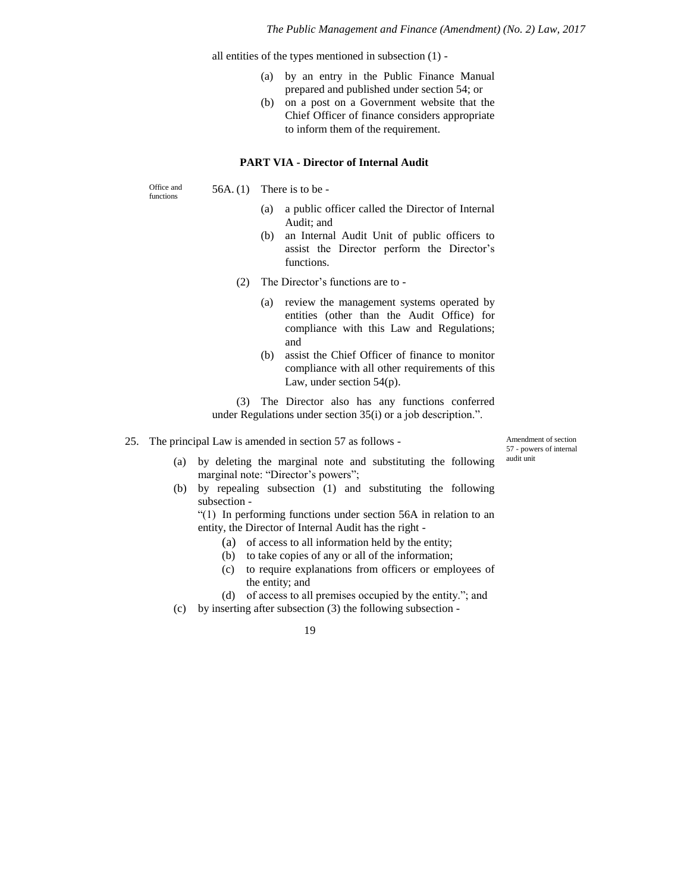all entities of the types mentioned in subsection (1) -

- (a) by an entry in the Public Finance Manual prepared and published under section 54; or
- (b) on a post on a Government website that the Chief Officer of finance considers appropriate to inform them of the requirement.

## **PART VIA - Director of Internal Audit**

Office and functions

56A. (1) There is to be -

- (a) a public officer called the Director of Internal Audit; and
- (b) an Internal Audit Unit of public officers to assist the Director perform the Director's functions.
- (2) The Director's functions are to
	- (a) review the management systems operated by entities (other than the Audit Office) for compliance with this Law and Regulations; and
	- (b) assist the Chief Officer of finance to monitor compliance with all other requirements of this Law, under section 54(p).

(3) The Director also has any functions conferred under Regulations under section 35(i) or a job description.".

25. The principal Law is amended in section 57 as follows -

Amendment of section 57 - powers of internal audit unit

- (a) by deleting the marginal note and substituting the following marginal note: "Director's powers";
- (b) by repealing subsection (1) and substituting the following subsection -

"(1) In performing functions under section 56A in relation to an entity, the Director of Internal Audit has the right -

- (a) of access to all information held by the entity;
- (b) to take copies of any or all of the information;
- (c) to require explanations from officers or employees of the entity; and
- (d) of access to all premises occupied by the entity."; and (c) by inserting after subsection (3) the following subsection -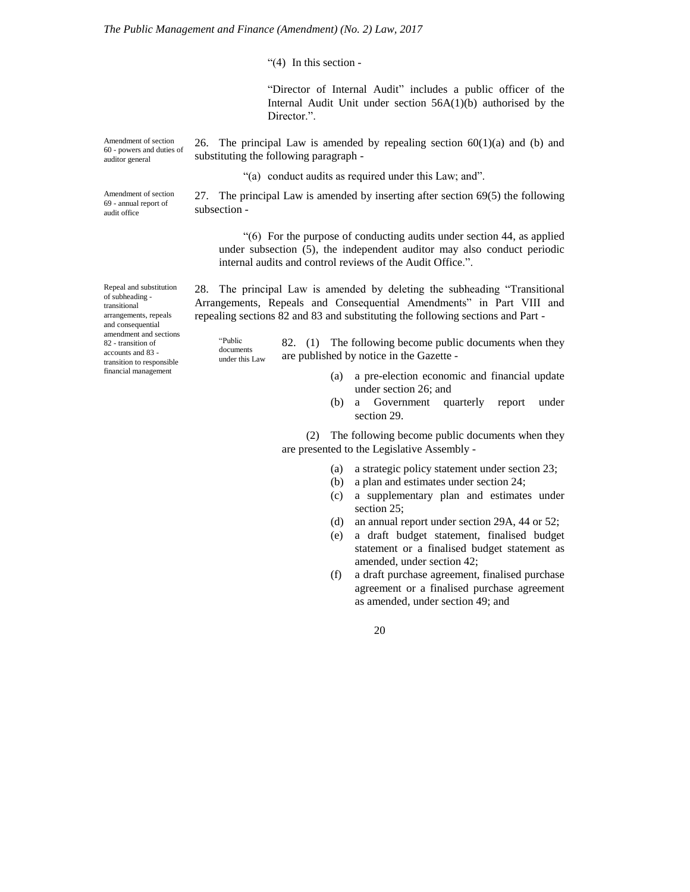"(4) In this section -

"Director of Internal Audit" includes a public officer of the Internal Audit Unit under section 56A(1)(b) authorised by the Director.".

26. The principal Law is amended by repealing section  $60(1)(a)$  and (b) and substituting the following paragraph -

"(a) conduct audits as required under this Law; and".

27. The principal Law is amended by inserting after section 69(5) the following subsection -

"(6) For the purpose of conducting audits under section 44, as applied under subsection (5), the independent auditor may also conduct periodic internal audits and control reviews of the Audit Office.".

28. The principal Law is amended by deleting the subheading "Transitional Arrangements, Repeals and Consequential Amendments" in Part VIII and repealing sections 82 and 83 and substituting the following sections and Part -

documents under this Law 82. (1) The following become public documents when they are published by notice in the Gazette -

- (a) a pre-election economic and financial update under section 26; and
- (b) a Government quarterly report under section 29.

(2) The following become public documents when they are presented to the Legislative Assembly -

- (a) a strategic policy statement under section 23;
- (b) a plan and estimates under section 24;
- (c) a supplementary plan and estimates under section 25;
- (d) an annual report under section 29A, 44 or 52;
- (e) a draft budget statement, finalised budget statement or a finalised budget statement as amended, under section 42;
- (f) a draft purchase agreement, finalised purchase agreement or a finalised purchase agreement as amended, under section 49; and

20

Amendment of section 60 - powers and duties of auditor general

Amendment of section 69 - annual report of audit office

Repeal and substitution of subheading transitional arrangements, repeals and consequential amendment and sections 82 - transition of accounts and 83 transition to responsible financial management

"Public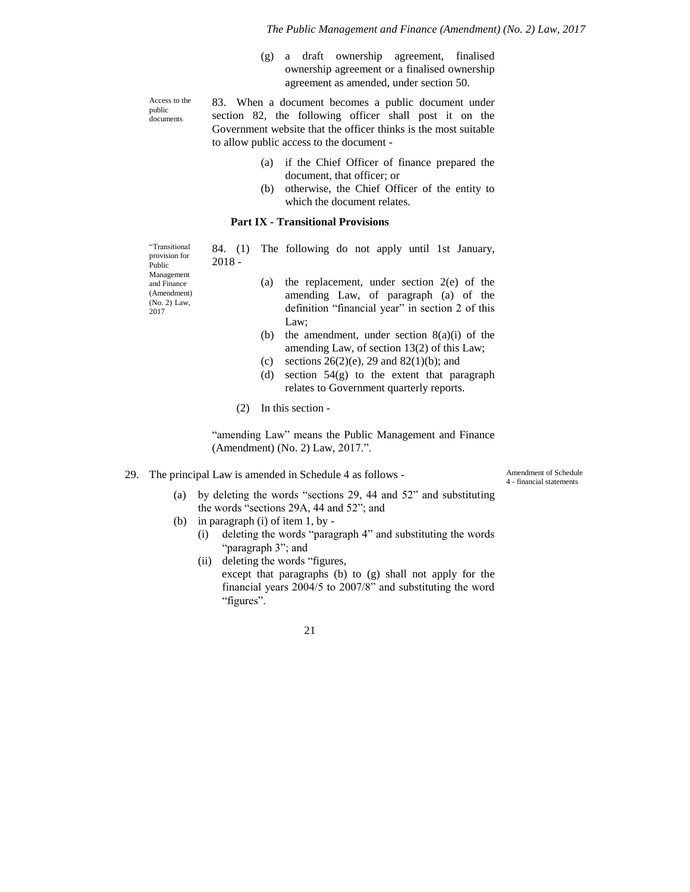(g) a draft ownership agreement, finalised ownership agreement or a finalised ownership agreement as amended, under section 50.

Access to the public documents

83. When a document becomes a public document under section 82, the following officer shall post it on the Government website that the officer thinks is the most suitable to allow public access to the document -

- (a) if the Chief Officer of finance prepared the document, that officer; or
- (b) otherwise, the Chief Officer of the entity to which the document relates.

# **Part IX - Transitional Provisions**

"Transitional provision for **Public** Management and Finance (Amendment) (No. 2) Law, 2017

- 84. (1) The following do not apply until 1st January, 2018 -
	- (a) the replacement, under section 2(e) of the amending Law, of paragraph (a) of the definition "financial year" in section 2 of this Law;
	- (b) the amendment, under section 8(a)(i) of the amending Law, of section 13(2) of this Law;
	- (c) sections  $26(2)(e)$ , 29 and  $82(1)(b)$ ; and
	- (d) section 54(g) to the extent that paragraph relates to Government quarterly reports.
	- (2) In this section -

"amending Law" means the Public Management and Finance (Amendment) (No. 2) Law, 2017.".

29. The principal Law is amended in Schedule 4 as follows -

Amendment of Schedule 4 - financial statements

- (a) by deleting the words "sections 29, 44 and 52" and substituting the words "sections 29A, 44 and 52"; and
- (b) in paragraph (i) of item 1, by
	- (i) deleting the words "paragraph 4" and substituting the words "paragraph 3"; and
	- (ii) deleting the words "figures, except that paragraphs (b) to (g) shall not apply for the financial years 2004/5 to 2007/8" and substituting the word "figures".